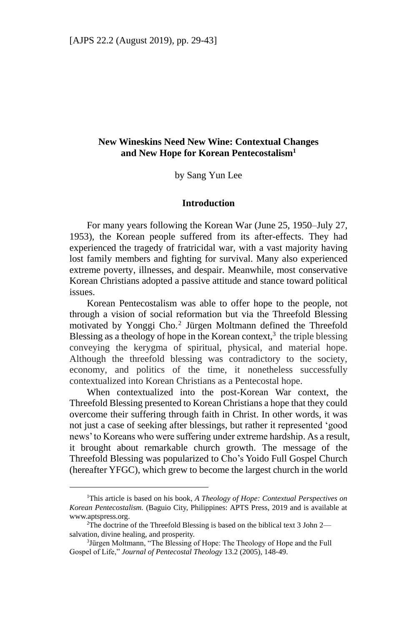# **New Wineskins Need New Wine: Contextual Changes and New Hope for Korean Pentecostalism<sup>1</sup>**

by Sang Yun Lee

### **Introduction**

For many years following the Korean War (June 25, 1950–July 27, 1953), the Korean people suffered from its after-effects. They had experienced the tragedy of fratricidal war, with a vast majority having lost family members and fighting for survival. Many also experienced extreme poverty, illnesses, and despair. Meanwhile, most conservative Korean Christians adopted a passive attitude and stance toward political issues.

Korean Pentecostalism was able to offer hope to the people, not through a vision of social reformation but via the Threefold Blessing motivated by Yonggi Cho.<sup>2</sup> Jürgen Moltmann defined the Threefold Blessing as a theology of hope in the Korean context, $3$  the triple blessing conveying the kerygma of spiritual, physical, and material hope. Although the threefold blessing was contradictory to the society, economy, and politics of the time, it nonetheless successfully contextualized into Korean Christians as a Pentecostal hope.

When contextualized into the post-Korean War context, the Threefold Blessing presented to Korean Christians a hope that they could overcome their suffering through faith in Christ. In other words, it was not just a case of seeking after blessings, but rather it represented 'good news' to Koreans who were suffering under extreme hardship. As a result, it brought about remarkable church growth. The message of the Threefold Blessing was popularized to Cho's Yoido Full Gospel Church (hereafter YFGC), which grew to become the largest church in the world

<sup>1</sup>This article is based on his book, *A Theology of Hope: Contextual Perspectives on Korean Pentecostalism.* (Baguio City, Philippines: APTS Press, 2019 and is available at www.aptspress.org.

<sup>&</sup>lt;sup>2</sup>The doctrine of the Threefold Blessing is based on the biblical text 3 John 2 salvation, divine healing, and prosperity.

<sup>&</sup>lt;sup>3</sup>Jürgen Moltmann, "The Blessing of Hope: The Theology of Hope and the Full Gospel of Life," *Journal of Pentecostal Theology* 13.2 (2005), 148‐49.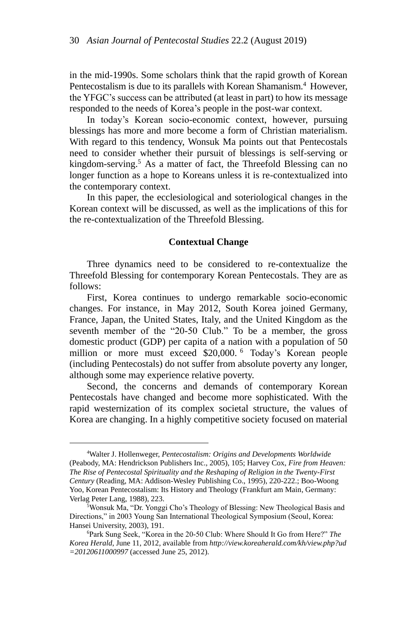in the mid-1990s. Some scholars think that the rapid growth of Korean Pentecostalism is due to its parallels with Korean Shamanism.<sup>4</sup> However, the YFGC's success can be attributed (at least in part) to how its message responded to the needs of Korea's people in the post-war context.

In today's Korean socio-economic context, however, pursuing blessings has more and more become a form of Christian materialism. With regard to this tendency, Wonsuk Ma points out that Pentecostals need to consider whether their pursuit of blessings is self-serving or kingdom-serving.<sup>5</sup> As a matter of fact, the Threefold Blessing can no longer function as a hope to Koreans unless it is re-contextualized into the contemporary context.

In this paper, the ecclesiological and soteriological changes in the Korean context will be discussed, as well as the implications of this for the re-contextualization of the Threefold Blessing.

#### **Contextual Change**

Three dynamics need to be considered to re-contextualize the Threefold Blessing for contemporary Korean Pentecostals. They are as follows:

First, Korea continues to undergo remarkable socio-economic changes. For instance, in May 2012, South Korea joined Germany, France, Japan, the United States, Italy, and the United Kingdom as the seventh member of the "20-50 Club." To be a member, the gross domestic product (GDP) per capita of a nation with a population of 50 million or more must exceed \$20,000. <sup>6</sup> Today's Korean people (including Pentecostals) do not suffer from absolute poverty any longer, although some may experience relative poverty.

Second, the concerns and demands of contemporary Korean Pentecostals have changed and become more sophisticated. With the rapid westernization of its complex societal structure, the values of Korea are changing. In a highly competitive society focused on material

<sup>4</sup>Walter J. Hollenweger, *Pentecostalism: Origins and Developments Worldwide* (Peabody, MA: Hendrickson Publishers Inc., 2005), 105; Harvey Cox, *Fire from Heaven: The Rise of Pentecostal Spirituality and the Reshaping of Religion in the Twenty-First Century* (Reading, MA: Addison-Wesley Publishing Co., 1995), 220-222.; Boo-Woong Yoo, Korean Pentecostalism: Its History and Theology (Frankfurt am Main, Germany: Verlag Peter Lang, 1988), 223.

<sup>&</sup>lt;sup>5</sup>Wonsuk Ma, "Dr. Yonggi Cho's Theology of Blessing: New Theological Basis and Directions," in 2003 Young San International Theological Symposium (Seoul, Korea: Hansei University, 2003), 191.

<sup>6</sup>Park Sung Seek, "Korea in the 20-50 Club: Where Should It Go from Here?" *The Korea Herald*, June 11, 2012, available from *http://view.koreaherald.com/kh/view.php?ud =20120611000997* (accessed June 25, 2012).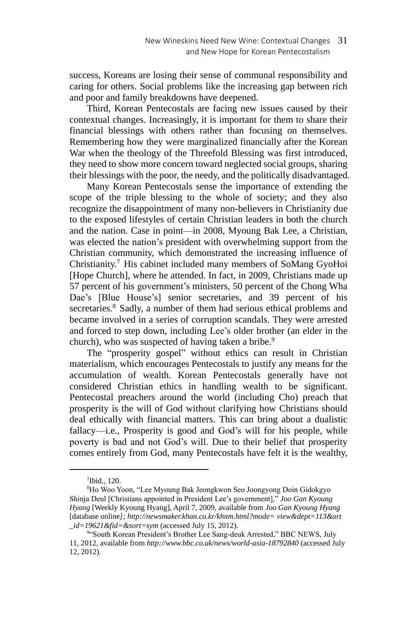success, Koreans are losing their sense of communal responsibility and caring for others. Social problems like the increasing gap between rich and poor and family breakdowns have deepened.

Third, Korean Pentecostals are facing new issues caused by their contextual changes. Increasingly, it is important for them to share their financial blessings with others rather than focusing on themselves. Remembering how they were marginalized financially after the Korean War when the theology of the Threefold Blessing was first introduced, they need to show more concern toward neglected social groups, sharing their blessings with the poor, the needy, and the politically disadvantaged.

Many Korean Pentecostals sense the importance of extending the scope of the triple blessing to the whole of society; and they also recognize the disappointment of many non-believers in Christianity due to the exposed lifestyles of certain Christian leaders in both the church and the nation. Case in point—in 2008, Myoung Bak Lee, a Christian, was elected the nation's president with overwhelming support from the Christian community, which demonstrated the increasing influence of Christianity.<sup>7</sup> His cabinet included many members of SoMang GyoHoi [Hope Church], where he attended. In fact, in 2009, Christians made up 57 percent of his government's ministers, 50 percent of the Chong Wha Dae's [Blue House's] senior secretaries, and 39 percent of his secretaries.<sup>8</sup> Sadly, a number of them had serious ethical problems and became involved in a series of corruption scandals. They were arrested and forced to step down, including Lee's older brother (an elder in the church), who was suspected of having taken a bribe.<sup>9</sup>

The "prosperity gospel" without ethics can result in Christian materialism, which encourages Pentecostals to justify any means for the accumulation of wealth. Korean Pentecostals generally have not considered Christian ethics in handling wealth to be significant. Pentecostal preachers around the world (including Cho) preach that prosperity is the will of God without clarifying how Christians should deal ethically with financial matters. This can bring about a dualistic fallacy—i.e., Prosperity is good and God's will for his people, while poverty is bad and not God's will. Due to their belief that prosperity comes entirely from God, many Pentecostals have felt it is the wealthy,

<sup>7</sup> Ibid., 120.

<sup>8</sup>Ho Woo Yoon, "Lee Myoung Bak Jeongkwon Seo Joongyong Doin Gidokgyo Shinja Deul [Christians appointed in President Lee's government]," *Joo Gan Kyoung Hyang* [Weekly Kyoung Hyang], April 7, 2009, available from *Joo Gan Kyoung Hyang* [database online*]; http://newsmaker.khan.co.kr/khnm.html?mode= view&dept=113&art \_id=19621&fid=&sort=sym* (accessed July 15, 2012).

<sup>9&</sup>quot;South Korean President's Brother Lee Sang-deuk Arrested," BBC NEWS, July 11, 2012, available from *http://www.bbc.co.uk/news/world-asia-18792840* (accessed July 12, 2012).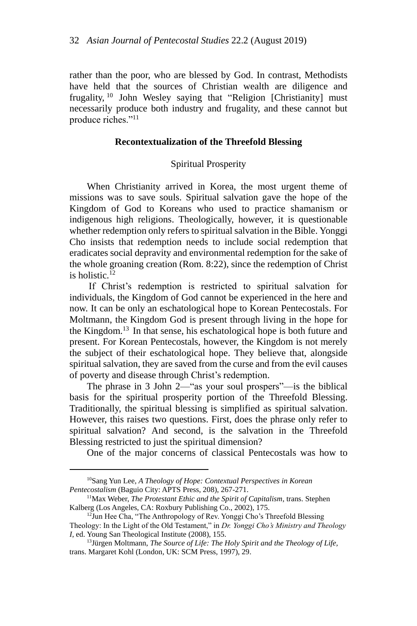rather than the poor, who are blessed by God. In contrast, Methodists have held that the sources of Christian wealth are diligence and frugality, <sup>10</sup> John Wesley saying that "Religion [Christianity] must necessarily produce both industry and frugality, and these cannot but produce riches."<sup>11</sup>

### **Recontextualization of the Threefold Blessing**

### Spiritual Prosperity

When Christianity arrived in Korea, the most urgent theme of missions was to save souls. Spiritual salvation gave the hope of the Kingdom of God to Koreans who used to practice shamanism or indigenous high religions. Theologically, however, it is questionable whether redemption only refers to spiritual salvation in the Bible. Yonggi Cho insists that redemption needs to include social redemption that eradicates social depravity and environmental redemption for the sake of the whole groaning creation (Rom. 8:22), since the redemption of Christ is holistic. 12

If Christ's redemption is restricted to spiritual salvation for individuals, the Kingdom of God cannot be experienced in the here and now. It can be only an eschatological hope to Korean Pentecostals. For Moltmann, the Kingdom God is present through living in the hope for the Kingdom.<sup>13</sup> In that sense, his eschatological hope is both future and present. For Korean Pentecostals, however, the Kingdom is not merely the subject of their eschatological hope. They believe that, alongside spiritual salvation, they are saved from the curse and from the evil causes of poverty and disease through Christ's redemption.

The phrase in 3 John 2—"as your soul prospers"—is the biblical basis for the spiritual prosperity portion of the Threefold Blessing. Traditionally, the spiritual blessing is simplified as spiritual salvation. However, this raises two questions. First, does the phrase only refer to spiritual salvation? And second, is the salvation in the Threefold Blessing restricted to just the spiritual dimension?

One of the major concerns of classical Pentecostals was how to

<sup>10</sup>Sang Yun Lee, *A Theology of Hope: Contextual Perspectives in Korean Pentecostalism* (Baguio City: APTS Press, 208), 267-271.

<sup>11</sup>Max Weber, *The Protestant Ethic and the Spirit of Capitalism*, trans. Stephen Kalberg (Los Angeles, CA: Roxbury Publishing Co., 2002), 175.

<sup>&</sup>lt;sup>12</sup>Jun Hee Cha, "The Anthropology of Rev. Yonggi Cho's Threefold Blessing Theology: In the Light of the Old Testament," in *Dr. Yonggi Cho's Ministry and Theology I*, ed. Young San Theological Institute (2008), 155.

<sup>13</sup>Jürgen Moltmann, *The Source of Life: The Holy Spirit and the Theology of Life,*  trans. Margaret Kohl (London, UK: SCM Press, 1997), 29.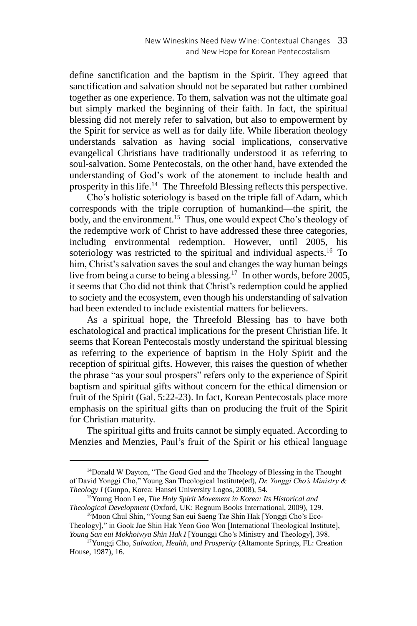define sanctification and the baptism in the Spirit. They agreed that sanctification and salvation should not be separated but rather combined together as one experience. To them, salvation was not the ultimate goal but simply marked the beginning of their faith. In fact, the spiritual blessing did not merely refer to salvation, but also to empowerment by the Spirit for service as well as for daily life. While liberation theology understands salvation as having social implications, conservative evangelical Christians have traditionally understood it as referring to soul-salvation. Some Pentecostals, on the other hand, have extended the understanding of God's work of the atonement to include health and prosperity in this life.<sup>14</sup> The Threefold Blessing reflects this perspective.

Cho's holistic soteriology is based on the triple fall of Adam, which corresponds with the triple corruption of humankind—the spirit, the body, and the environment.<sup>15</sup> Thus, one would expect Cho's theology of the redemptive work of Christ to have addressed these three categories, including environmental redemption. However, until 2005, his soteriology was restricted to the spiritual and individual aspects.<sup>16</sup> To him, Christ's salvation saves the soul and changes the way human beings live from being a curse to being a blessing.<sup>17</sup> In other words, before 2005, it seems that Cho did not think that Christ's redemption could be applied to society and the ecosystem, even though his understanding of salvation had been extended to include existential matters for believers.

As a spiritual hope, the Threefold Blessing has to have both eschatological and practical implications for the present Christian life. It seems that Korean Pentecostals mostly understand the spiritual blessing as referring to the experience of baptism in the Holy Spirit and the reception of spiritual gifts. However, this raises the question of whether the phrase "as your soul prospers" refers only to the experience of Spirit baptism and spiritual gifts without concern for the ethical dimension or fruit of the Spirit (Gal. 5:22-23). In fact, Korean Pentecostals place more emphasis on the spiritual gifts than on producing the fruit of the Spirit for Christian maturity.

The spiritual gifts and fruits cannot be simply equated. According to Menzies and Menzies, Paul's fruit of the Spirit or his ethical language

<sup>&</sup>lt;sup>14</sup>Donald W Dayton, "The Good God and the Theology of Blessing in the Thought of David Yonggi Cho," Young San Theological Institute(ed), *Dr. Yonggi Cho's Ministry & Theology I* (Gunpo, Korea: Hansei University Logos, 2008), 54.

<sup>15</sup>Young Hoon Lee, *The Holy Spirit Movement in Korea: Its Historical and Theological Development* (Oxford, UK: Regnum Books International, 2009), 129.

<sup>&</sup>lt;sup>16</sup>Moon Chul Shin, "Young San eui Saeng Tae Shin Hak [Yonggi Cho's Eco-Theology]," in Gook Jae Shin Hak Yeon Goo Won [International Theological Institute], *Young San eui Mokhoiwya Shin Hak I* [Younggi Cho's Ministry and Theology], 398.

<sup>17</sup>Yonggi Cho, *Salvation, Health, and Prosperity* (Altamonte Springs, FL: Creation House, 1987), 16.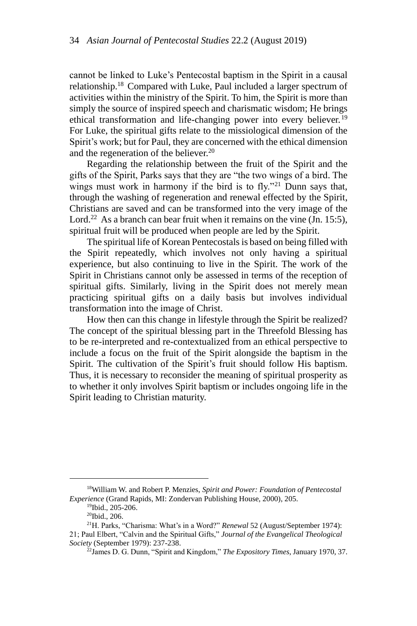cannot be linked to Luke's Pentecostal baptism in the Spirit in a causal relationship.<sup>18</sup> Compared with Luke, Paul included a larger spectrum of activities within the ministry of the Spirit. To him, the Spirit is more than simply the source of inspired speech and charismatic wisdom; He brings ethical transformation and life-changing power into every believer.<sup>19</sup> For Luke, the spiritual gifts relate to the missiological dimension of the Spirit's work; but for Paul, they are concerned with the ethical dimension and the regeneration of the believer.<sup>20</sup>

Regarding the relationship between the fruit of the Spirit and the gifts of the Spirit, Parks says that they are "the two wings of a bird. The wings must work in harmony if the bird is to fly."<sup>21</sup> Dunn says that, through the washing of regeneration and renewal effected by the Spirit, Christians are saved and can be transformed into the very image of the Lord.<sup>22</sup> As a branch can bear fruit when it remains on the vine (Jn. 15:5), spiritual fruit will be produced when people are led by the Spirit.

The spiritual life of Korean Pentecostals is based on being filled with the Spirit repeatedly, which involves not only having a spiritual experience, but also continuing to live in the Spirit. The work of the Spirit in Christians cannot only be assessed in terms of the reception of spiritual gifts. Similarly, living in the Spirit does not merely mean practicing spiritual gifts on a daily basis but involves individual transformation into the image of Christ.

How then can this change in lifestyle through the Spirit be realized? The concept of the spiritual blessing part in the Threefold Blessing has to be re-interpreted and re-contextualized from an ethical perspective to include a focus on the fruit of the Spirit alongside the baptism in the Spirit. The cultivation of the Spirit's fruit should follow His baptism. Thus, it is necessary to reconsider the meaning of spiritual prosperity as to whether it only involves Spirit baptism or includes ongoing life in the Spirit leading to Christian maturity.

<sup>18</sup>William W. and Robert P. Menzies, *Spirit and Power: Foundation of Pentecostal Experience* (Grand Rapids, MI: Zondervan Publishing House, 2000), 205.

<sup>19</sup>Ibid., 205-206.

<sup>20</sup>Ibid., 206.

<sup>&</sup>lt;sup>21</sup>H. Parks, "Charisma: What's in a Word?" *Renewal* 52 (August/September 1974): 21; Paul Elbert, "Calvin and the Spiritual Gifts," *Journal of the Evangelical Theological Society* (September 1979): 237-238.

<sup>22</sup>James D. G. Dunn, "Spirit and Kingdom," *The Expository Times*, January 1970, 37.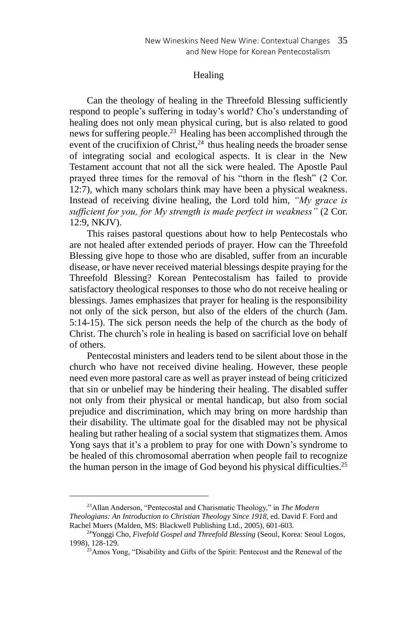### Healing

Can the theology of healing in the Threefold Blessing sufficiently respond to people's suffering in today's world? Cho's understanding of healing does not only mean physical curing, but is also related to good news for suffering people.<sup>23</sup> Healing has been accomplished through the event of the crucifixion of Christ, $^{24}$  thus healing needs the broader sense of integrating social and ecological aspects. It is clear in the New Testament account that not all the sick were healed. The Apostle Paul prayed three times for the removal of his "thorn in the flesh" (2 Cor. 12:7), which many scholars think may have been a physical weakness. Instead of receiving divine healing, the Lord told him, *"My grace is sufficient for you, for My strength is made perfect in weakness"* (2 Cor. 12:9, NKJV).

This raises pastoral questions about how to help Pentecostals who are not healed after extended periods of prayer. How can the Threefold Blessing give hope to those who are disabled, suffer from an incurable disease, or have never received material blessings despite praying for the Threefold Blessing? Korean Pentecostalism has failed to provide satisfactory theological responses to those who do not receive healing or blessings. James emphasizes that prayer for healing is the responsibility not only of the sick person, but also of the elders of the church (Jam. 5:14-15). The sick person needs the help of the church as the body of Christ. The church's role in healing is based on sacrificial love on behalf of others.

Pentecostal ministers and leaders tend to be silent about those in the church who have not received divine healing. However, these people need even more pastoral care as well as prayer instead of being criticized that sin or unbelief may be hindering their healing. The disabled suffer not only from their physical or mental handicap, but also from social prejudice and discrimination, which may bring on more hardship than their disability. The ultimate goal for the disabled may not be physical healing but rather healing of a social system that stigmatizes them. Amos Yong says that it's a problem to pray for one with Down's syndrome to be healed of this chromosomal aberration when people fail to recognize the human person in the image of God beyond his physical difficulties.<sup>25</sup>

<sup>23</sup>Allan Anderson, "Pentecostal and Charismatic Theology," in *The Modern Theologians: An Introduction to Christian Theology Since 1918*, ed. David F. Ford and Rachel Muers (Malden, MS: Blackwell Publishing Ltd., 2005), 601-603.

<sup>&</sup>lt;sup>24</sup>Yonggi Cho, *Fivefold Gospel and Threefold Blessing* (Seoul, Korea: Seoul Logos, 1998), 128-129.

 $^{25}$ Amos Yong, "Disability and Gifts of the Spirit: Pentecost and the Renewal of the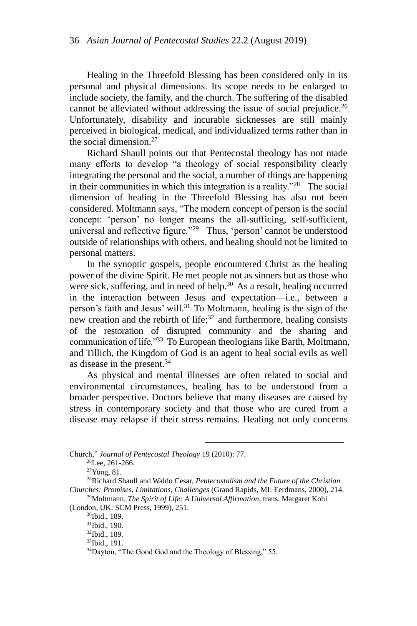Healing in the Threefold Blessing has been considered only in its personal and physical dimensions. Its scope needs to be enlarged to include society, the family, and the church. The suffering of the disabled cannot be alleviated without addressing the issue of social prejudice.<sup>26</sup> Unfortunately, disability and incurable sicknesses are still mainly perceived in biological, medical, and individualized terms rather than in the social dimension.<sup>27</sup>

Richard Shaull points out that Pentecostal theology has not made many efforts to develop "a theology of social responsibility clearly integrating the personal and the social, a number of things are happening in their communities in which this integration is a reality."<sup>28</sup> The social dimension of healing in the Threefold Blessing has also not been considered. Moltmann says, "The modern concept of person is the social concept: 'person' no longer means the all-sufficing, self-sufficient, universal and reflective figure."<sup>29</sup> Thus, 'person' cannot be understood outside of relationships with others, and healing should not be limited to personal matters.

In the synoptic gospels, people encountered Christ as the healing power of the divine Spirit. He met people not as sinners but as those who were sick, suffering, and in need of help.<sup>30</sup> As a result, healing occurred in the interaction between Jesus and expectation—i.e., between a person's faith and Jesus' will.<sup>31</sup> To Moltmann, healing is the sign of the new creation and the rebirth of life; <sup>32</sup> and furthermore, healing consists of the restoration of disrupted community and the sharing and communication of life."<sup>33</sup> To European theologians like Barth, Moltmann, and Tillich, the Kingdom of God is an agent to heal social evils as well as disease in the present.<sup>34</sup>

As physical and mental illnesses are often related to social and environmental circumstances, healing has to be understood from a broader perspective. Doctors believe that many diseases are caused by stress in contemporary society and that those who are cured from a disease may relapse if their stress remains. Healing not only concerns

-

<sup>29</sup>Moltmann, *The Spirit of Life: A Universal Affirmation*, trans. Margaret Kohl (London, UK: SCM Press, 1999), 251.

<sup>30</sup>Ibid., 189.

Church," *Journal of Pentecostal Theology* 19 (2010): 77.

 $26$ Lee, 261-266.

<sup>27</sup>Yong, 81.

<sup>28</sup>Richard Shaull and Waldo Cesar, *Pentecostalism and the Future of the Christian Churches: Promises, Limitations, Challenges* (Grand Rapids, MI: Eerdmans, 2000), 214.

<sup>31</sup>Ibid., 190.

<sup>32</sup>Ibid., 189.

<sup>33</sup>Ibid., 191.

<sup>34</sup>Dayton, "The Good God and the Theology of Blessing," 55.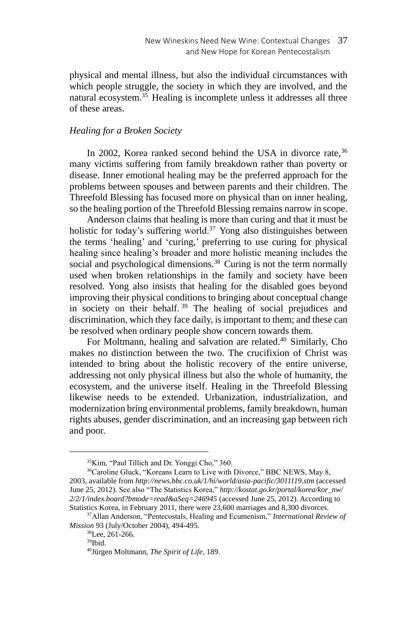physical and mental illness, but also the individual circumstances with which people struggle, the society in which they are involved, and the natural ecosystem.<sup>35</sup> Healing is incomplete unless it addresses all three of these areas.

# *Healing for a Broken Society*

In 2002, Korea ranked second behind the USA in divorce rate,  $36$ many victims suffering from family breakdown rather than poverty or disease. Inner emotional healing may be the preferred approach for the problems between spouses and between parents and their children. The Threefold Blessing has focused more on physical than on inner healing, so the healing portion of the Threefold Blessing remains narrow in scope.

Anderson claims that healing is more than curing and that it must be holistic for today's suffering world.<sup>37</sup> Yong also distinguishes between the terms 'healing' and 'curing,' preferring to use curing for physical healing since healing's broader and more holistic meaning includes the social and psychological dimensions.<sup>38</sup> Curing is not the term normally used when broken relationships in the family and society have been resolved. Yong also insists that healing for the disabled goes beyond improving their physical conditions to bringing about conceptual change in society on their behalf. <sup>39</sup> The healing of social prejudices and discrimination, which they face daily, is important to them; and these can be resolved when ordinary people show concern towards them.

For Moltmann, healing and salvation are related.<sup>40</sup> Similarly, Cho makes no distinction between the two. The crucifixion of Christ was intended to bring about the holistic recovery of the entire universe, addressing not only physical illness but also the whole of humanity, the ecosystem, and the universe itself. Healing in the Threefold Blessing likewise needs to be extended. Urbanization, industrialization, and modernization bring environmental problems, family breakdown, human rights abuses, gender discrimination, and an increasing gap between rich and poor.

<sup>35</sup>Kim, "Paul Tillich and Dr. Yonggi Cho," 360.

<sup>36</sup>Caroline Gluck, "Koreans Learn to Live with Divorce," BBC NEWS, May 8, 2003, available from *http://news.bbc.co.uk/1/hi/world/asia-pacific/3011119.stm* (accessed June 25, 2012). See also "The Statistics Korea," *http://kostat.go.kr/portal/korea/kor\_nw/ 2/2/1/index.board?bmode=read&aSeq=246945* (accessed June 25, 2012). According to Statistics Korea, in February 2011, there were 23,600 marriages and 8,300 divorces.

<sup>37</sup>Allan Anderson, "Pentecostals, Healing and Ecumenism," *International Review of Mission* 93 (July/October 2004), 494-495.

<sup>38</sup>Lee, 261-266.

<sup>39</sup>Ibid.

<sup>40</sup>Jürgen Moltmann, *The Spirit of Life*, 189.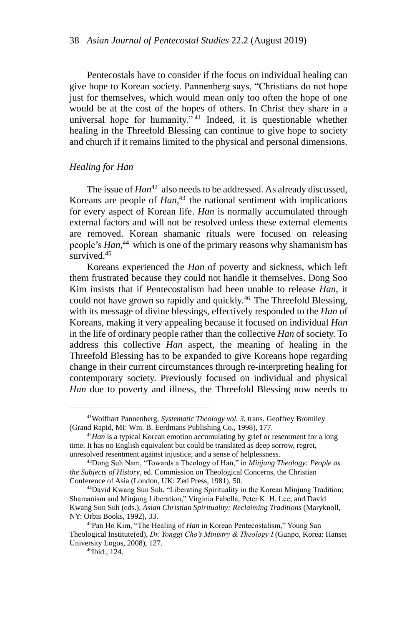Pentecostals have to consider if the focus on individual healing can give hope to Korean society. Pannenberg says, "Christians do not hope just for themselves, which would mean only too often the hope of one would be at the cost of the hopes of others. In Christ they share in a universal hope for humanity." <sup>41</sup> Indeed, it is questionable whether healing in the Threefold Blessing can continue to give hope to society and church if it remains limited to the physical and personal dimensions.

#### *Healing for Han*

The issue of *Han*<sup>42</sup> also needs to be addressed. As already discussed, Koreans are people of *Han*, <sup>43</sup> the national sentiment with implications for every aspect of Korean life. *Han* is normally accumulated through external factors and will not be resolved unless these external elements are removed. Korean shamanic rituals were focused on releasing people's *Han*, <sup>44</sup> which is one of the primary reasons why shamanism has survived.<sup>45</sup>

Koreans experienced the *Han* of poverty and sickness, which left them frustrated because they could not handle it themselves. Dong Soo Kim insists that if Pentecostalism had been unable to release *Han*, it could not have grown so rapidly and quickly.<sup>46</sup> The Threefold Blessing, with its message of divine blessings, effectively responded to the *Han* of Koreans, making it very appealing because it focused on individual *Han* in the life of ordinary people rather than the collective *Han* of society. To address this collective *Han* aspect, the meaning of healing in the Threefold Blessing has to be expanded to give Koreans hope regarding change in their current circumstances through re-interpreting healing for contemporary society. Previously focused on individual and physical *Han* due to poverty and illness, the Threefold Blessing now needs to

<sup>41</sup>Wolfhart Pannenberg, *Systematic Theology vol. 3*, trans. Geoffrey Bromiley (Grand Rapid, MI: Wm. B. Eerdmans Publishing Co., 1998), 177.

<sup>&</sup>lt;sup>42</sup>Han is a typical Korean emotion accumulating by grief or resentment for a long time. It has no English equivalent but could be translated as deep sorrow, regret, unresolved resentment against injustice, and a sense of helplessness.

<sup>43</sup>Dong Suh Nam, "Towards a Theology of Han," in *Minjung Theology: People as the Subjects of History*, ed. Commission on Theological Concerns, the Christian Conference of Asia (London, UK: Zed Press, 1981), 50.

<sup>44</sup>David Kwang Sun Suh, "Liberating Spirituality in the Korean Minjung Tradition: Shamanism and Minjung Liberation," Virginia Fabella, Peter K. H. Lee, and David Kwang Sun Suh (eds.), *Asian Christian Spirituality: Reclaiming Traditions* (Maryknoll, NY: Orbis Books, 1992), 33.

<sup>45</sup>Pan Ho Kim, "The Healing of *Han* in Korean Pentecostalism," Young San Theological Institute(ed), *Dr. Yonggi Cho's Ministry & Theology I* (Gunpo, Korea: Hansei University Logos, 2008), 127.

<sup>46</sup>Ibid., 124.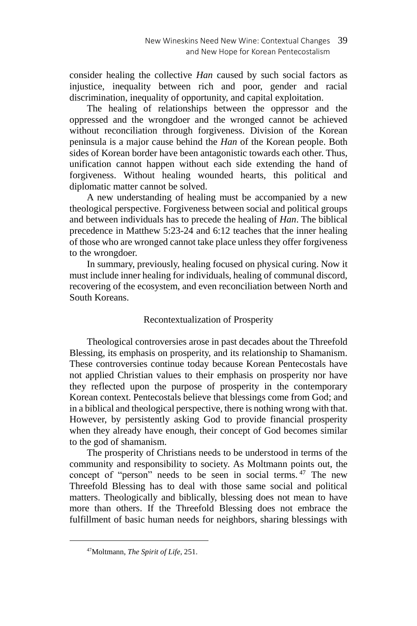consider healing the collective *Han* caused by such social factors as injustice, inequality between rich and poor, gender and racial discrimination, inequality of opportunity, and capital exploitation.

The healing of relationships between the oppressor and the oppressed and the wrongdoer and the wronged cannot be achieved without reconciliation through forgiveness. Division of the Korean peninsula is a major cause behind the *Han* of the Korean people. Both sides of Korean border have been antagonistic towards each other. Thus, unification cannot happen without each side extending the hand of forgiveness. Without healing wounded hearts, this political and diplomatic matter cannot be solved.

A new understanding of healing must be accompanied by a new theological perspective. Forgiveness between social and political groups and between individuals has to precede the healing of *Han*. The biblical precedence in Matthew 5:23-24 and 6:12 teaches that the inner healing of those who are wronged cannot take place unless they offer forgiveness to the wrongdoer.

In summary, previously, healing focused on physical curing. Now it must include inner healing for individuals, healing of communal discord, recovering of the ecosystem, and even reconciliation between North and South Koreans.

# Recontextualization of Prosperity

Theological controversies arose in past decades about the Threefold Blessing, its emphasis on prosperity, and its relationship to Shamanism. These controversies continue today because Korean Pentecostals have not applied Christian values to their emphasis on prosperity nor have they reflected upon the purpose of prosperity in the contemporary Korean context. Pentecostals believe that blessings come from God; and in a biblical and theological perspective, there is nothing wrong with that. However, by persistently asking God to provide financial prosperity when they already have enough, their concept of God becomes similar to the god of shamanism.

The prosperity of Christians needs to be understood in terms of the community and responsibility to society. As Moltmann points out, the concept of "person" needs to be seen in social terms. <sup>47</sup> The new Threefold Blessing has to deal with those same social and political matters. Theologically and biblically, blessing does not mean to have more than others. If the Threefold Blessing does not embrace the fulfillment of basic human needs for neighbors, sharing blessings with

<sup>47</sup>Moltmann, *The Spirit of Life*, 251.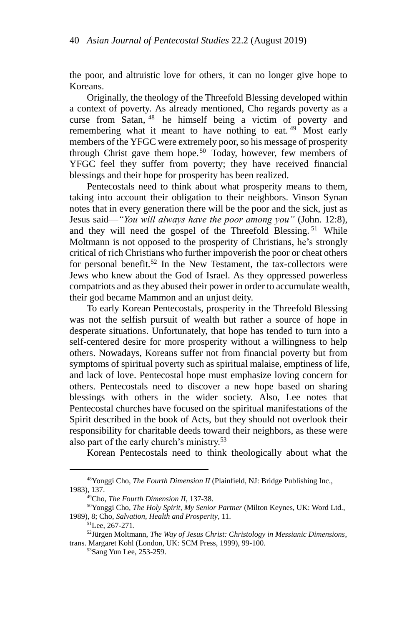the poor, and altruistic love for others, it can no longer give hope to Koreans.

Originally, the theology of the Threefold Blessing developed within a context of poverty. As already mentioned, Cho regards poverty as a curse from Satan, <sup>48</sup> he himself being a victim of poverty and remembering what it meant to have nothing to eat.<sup>49</sup> Most early members of the YFGC were extremely poor, so his message of prosperity through Christ gave them hope.<sup>50</sup> Today, however, few members of YFGC feel they suffer from poverty; they have received financial blessings and their hope for prosperity has been realized.

Pentecostals need to think about what prosperity means to them, taking into account their obligation to their neighbors. Vinson Synan notes that in every generation there will be the poor and the sick, just as Jesus said—*"You will always have the poor among you"* (John. 12:8), and they will need the gospel of the Threefold Blessing. <sup>51</sup> While Moltmann is not opposed to the prosperity of Christians, he's strongly critical of rich Christians who further impoverish the poor or cheat others for personal benefit.<sup>52</sup> In the New Testament, the tax-collectors were Jews who knew about the God of Israel. As they oppressed powerless compatriots and as they abused their power in order to accumulate wealth, their god became Mammon and an unjust deity.

To early Korean Pentecostals, prosperity in the Threefold Blessing was not the selfish pursuit of wealth but rather a source of hope in desperate situations. Unfortunately, that hope has tended to turn into a self-centered desire for more prosperity without a willingness to help others. Nowadays, Koreans suffer not from financial poverty but from symptoms of spiritual poverty such as spiritual malaise, emptiness of life, and lack of love. Pentecostal hope must emphasize loving concern for others. Pentecostals need to discover a new hope based on sharing blessings with others in the wider society. Also, Lee notes that Pentecostal churches have focused on the spiritual manifestations of the Spirit described in the book of Acts, but they should not overlook their responsibility for charitable deeds toward their neighbors, as these were also part of the early church's ministry.<sup>53</sup>

Korean Pentecostals need to think theologically about what the

<sup>48</sup>Yonggi Cho, *The Fourth Dimension II* (Plainfield, NJ: Bridge Publishing Inc., 1983), 137.

<sup>49</sup>Cho, *The Fourth Dimension II*, 137-38.

<sup>50</sup>Yonggi Cho, *The Holy Spirit, My Senior Partner* (Milton Keynes, UK: Word Ltd., 1989), 8; Cho, *Salvation, Health and Prosperity*, 11.

<sup>51</sup>Lee, 267-271.

<sup>52</sup>Jürgen Moltmann, *The Way of Jesus Christ: Christology in Messianic Dimensions*, trans. Margaret Kohl (London, UK: SCM Press, 1999), 99-100.

<sup>53</sup>Sang Yun Lee, 253-259.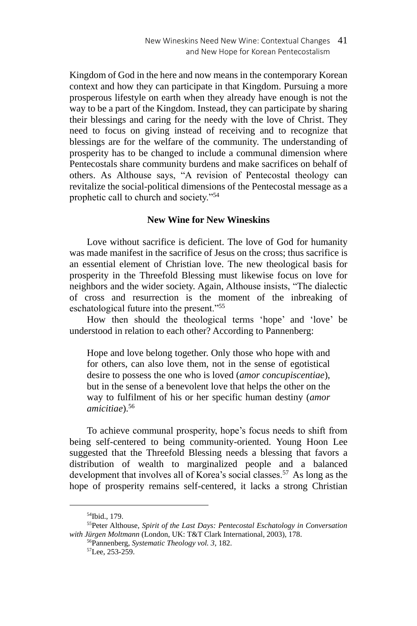Kingdom of God in the here and now means in the contemporary Korean context and how they can participate in that Kingdom. Pursuing a more prosperous lifestyle on earth when they already have enough is not the way to be a part of the Kingdom. Instead, they can participate by sharing their blessings and caring for the needy with the love of Christ. They need to focus on giving instead of receiving and to recognize that blessings are for the welfare of the community. The understanding of prosperity has to be changed to include a communal dimension where Pentecostals share community burdens and make sacrifices on behalf of others. As Althouse says, "A revision of Pentecostal theology can revitalize the social-political dimensions of the Pentecostal message as a prophetic call to church and society."<sup>54</sup>

# **New Wine for New Wineskins**

Love without sacrifice is deficient. The love of God for humanity was made manifest in the sacrifice of Jesus on the cross; thus sacrifice is an essential element of Christian love. The new theological basis for prosperity in the Threefold Blessing must likewise focus on love for neighbors and the wider society. Again, Althouse insists, "The dialectic of cross and resurrection is the moment of the inbreaking of eschatological future into the present."<sup>55</sup>

How then should the theological terms 'hope' and 'love' be understood in relation to each other? According to Pannenberg:

Hope and love belong together. Only those who hope with and for others, can also love them, not in the sense of egotistical desire to possess the one who is loved (*amor concupiscentiae*), but in the sense of a benevolent love that helps the other on the way to fulfilment of his or her specific human destiny (*amor amicitiae*).<sup>56</sup>

To achieve communal prosperity, hope's focus needs to shift from being self-centered to being community-oriented. Young Hoon Lee suggested that the Threefold Blessing needs a blessing that favors a distribution of wealth to marginalized people and a balanced development that involves all of Korea's social classes.<sup>57</sup> As long as the hope of prosperity remains self-centered, it lacks a strong Christian

<sup>54</sup>Ibid., 179.

<sup>55</sup>Peter Althouse, *Spirit of the Last Days: Pentecostal Eschatology in Conversation with Jürgen Moltmann* (London, UK: T&T Clark International, 2003), 178.

<sup>56</sup>Pannenberg, *Systematic Theology vol. 3*, 182.

<sup>57</sup>Lee, 253-259.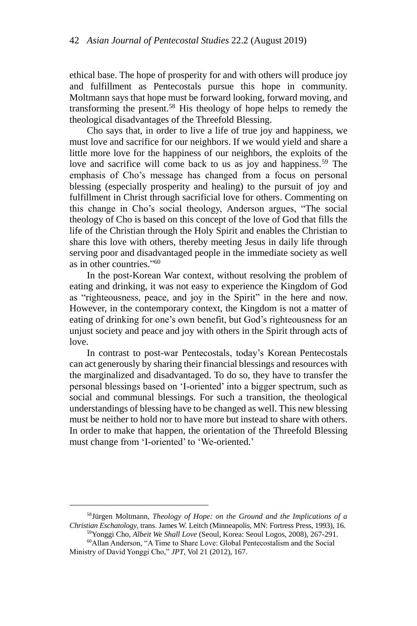ethical base. The hope of prosperity for and with others will produce joy and fulfillment as Pentecostals pursue this hope in community. Moltmann says that hope must be forward looking, forward moving, and transforming the present.<sup>58</sup> His theology of hope helps to remedy the theological disadvantages of the Threefold Blessing.

Cho says that, in order to live a life of true joy and happiness, we must love and sacrifice for our neighbors. If we would yield and share a little more love for the happiness of our neighbors, the exploits of the love and sacrifice will come back to us as joy and happiness.<sup>59</sup> The emphasis of Cho's message has changed from a focus on personal blessing (especially prosperity and healing) to the pursuit of joy and fulfillment in Christ through sacrificial love for others. Commenting on this change in Cho's social theology, Anderson argues, "The social theology of Cho is based on this concept of the love of God that fills the life of the Christian through the Holy Spirit and enables the Christian to share this love with others, thereby meeting Jesus in daily life through serving poor and disadvantaged people in the immediate society as well as in other countries." 60

In the post-Korean War context, without resolving the problem of eating and drinking, it was not easy to experience the Kingdom of God as "righteousness, peace, and joy in the Spirit" in the here and now. However, in the contemporary context, the Kingdom is not a matter of eating of drinking for one's own benefit, but God's righteousness for an unjust society and peace and joy with others in the Spirit through acts of love.

In contrast to post-war Pentecostals, today's Korean Pentecostals can act generously by sharing their financial blessings and resources with the marginalized and disadvantaged. To do so, they have to transfer the personal blessings based on 'I-oriented' into a bigger spectrum, such as social and communal blessings. For such a transition, the theological understandings of blessing have to be changed as well. This new blessing must be neither to hold nor to have more but instead to share with others. In order to make that happen, the orientation of the Threefold Blessing must change from 'I-oriented' to 'We-oriented.'

<sup>58</sup>Jürgen Moltmann, *Theology of Hope: on the Ground and the Implications of a Christian Eschatology*, trans. James W. Leitch (Minneapolis, MN: Fortress Press, 1993), 16.

<sup>59</sup>Yonggi Cho, *Albeit We Shall Love* (Seoul, Korea: Seoul Logos, 2008), 267-291. <sup>60</sup>Allan Anderson, "A Time to Share Love: Global Pentecostalism and the Social Ministry of David Yonggi Cho," *JPT*, Vol 21 (2012), 167.